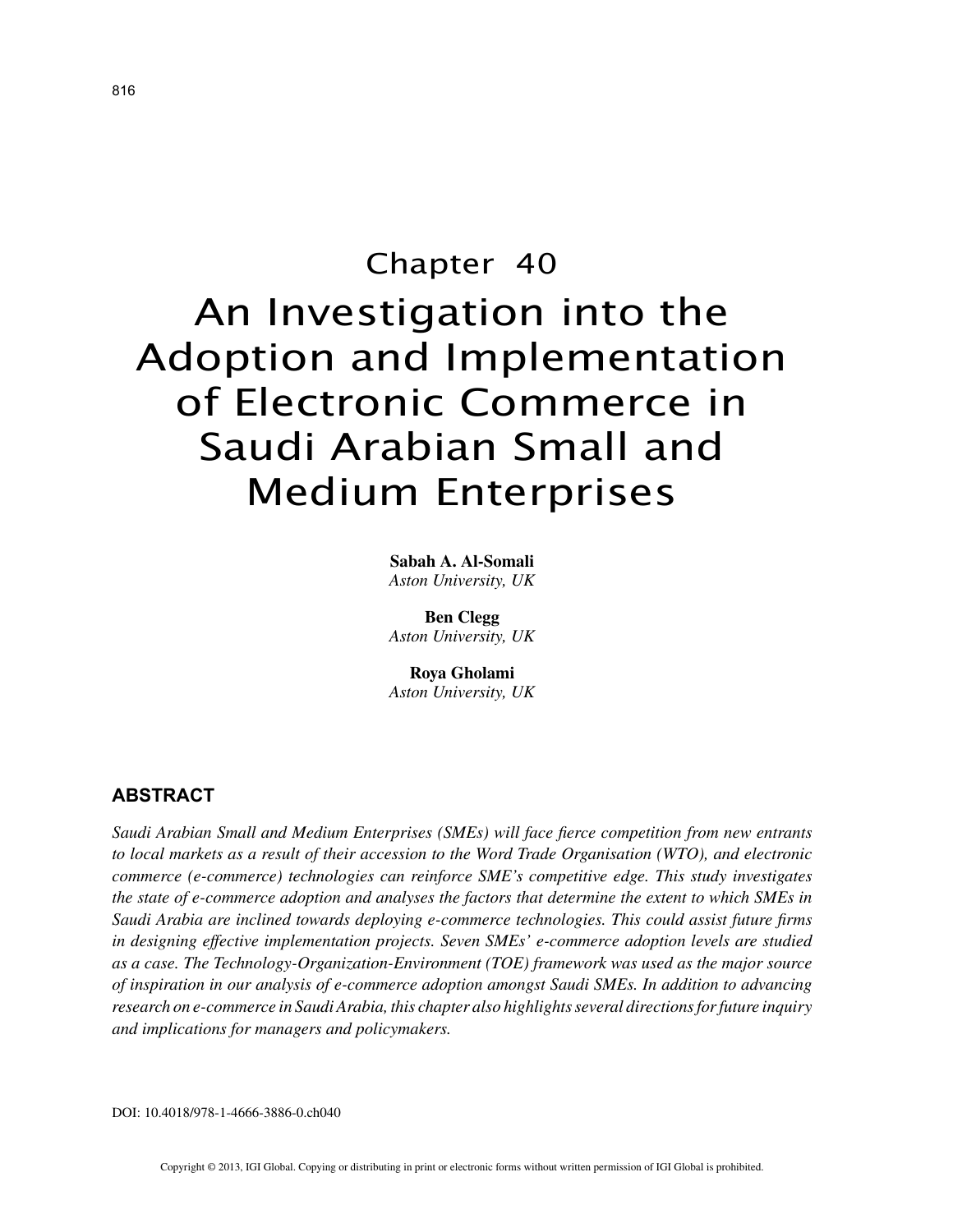# Chapter 40 An Investigation into the Adoption and Implementation of Electronic Commerce in Saudi Arabian Small and Medium Enterprises

**Sabah A. Al-Somali** *Aston University, UK*

**Ben Clegg** *Aston University, UK*

**Roya Gholami** *Aston University, UK*

# **ABSTRACT**

*Saudi Arabian Small and Medium Enterprises (SMEs) will face fierce competition from new entrants to local markets as a result of their accession to the Word Trade Organisation (WTO), and electronic commerce (e-commerce) technologies can reinforce SME's competitive edge. This study investigates the state of e-commerce adoption and analyses the factors that determine the extent to which SMEs in Saudi Arabia are inclined towards deploying e-commerce technologies. This could assist future firms in designing effective implementation projects. Seven SMEs' e-commerce adoption levels are studied as a case. The Technology-Organization-Environment (TOE) framework was used as the major source of inspiration in our analysis of e-commerce adoption amongst Saudi SMEs. In addition to advancing research on e-commerce in Saudi Arabia, this chapter also highlights several directions for future inquiry and implications for managers and policymakers.*

DOI: 10.4018/978-1-4666-3886-0.ch040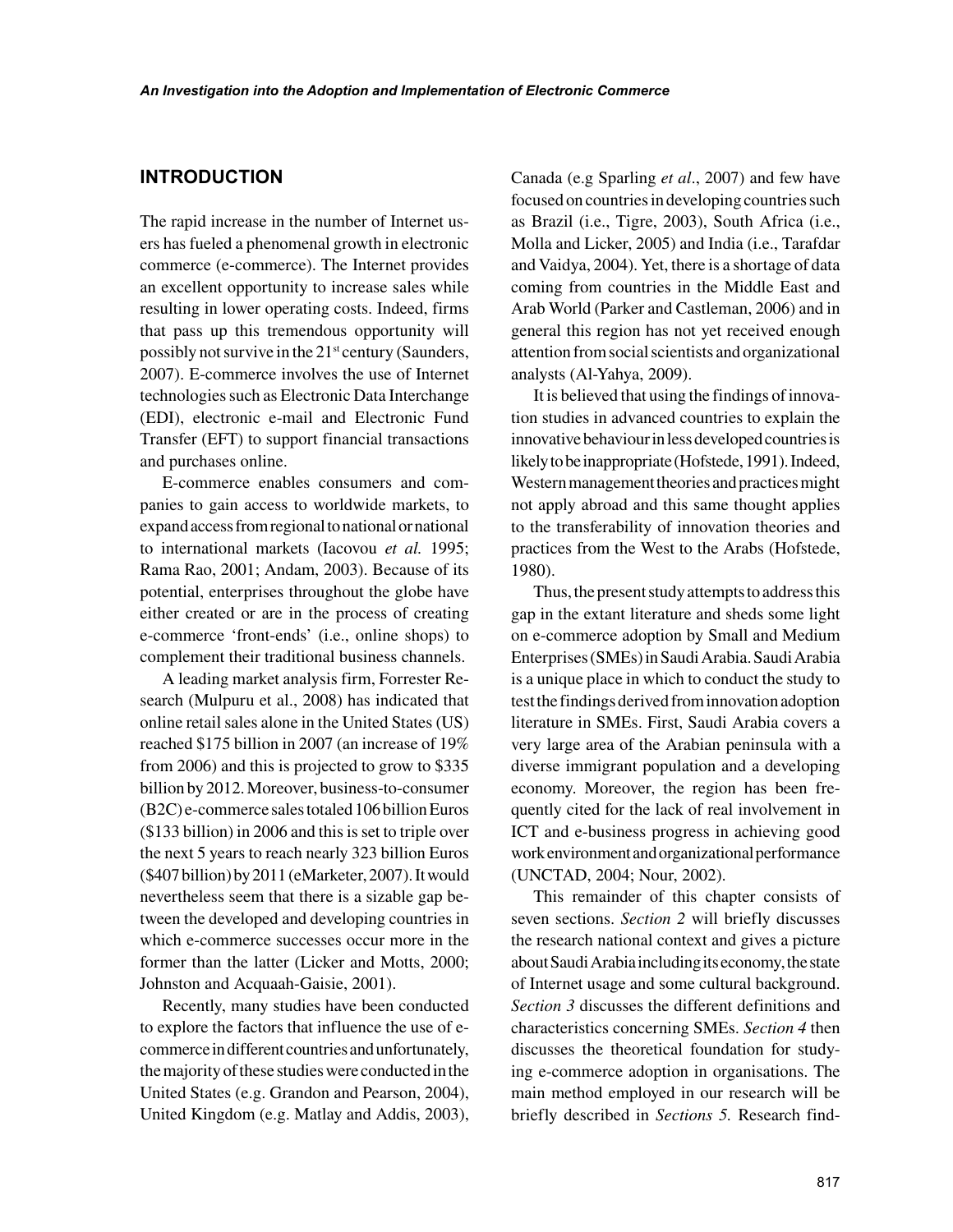## **INTRODUCTION**

The rapid increase in the number of Internet users has fueled a phenomenal growth in electronic commerce (e-commerce). The Internet provides an excellent opportunity to increase sales while resulting in lower operating costs. Indeed, firms that pass up this tremendous opportunity will possibly not survive in the  $21<sup>st</sup>$  century (Saunders, 2007). E-commerce involves the use of Internet technologies such as Electronic Data Interchange (EDI), electronic e-mail and Electronic Fund Transfer (EFT) to support financial transactions and purchases online.

E-commerce enables consumers and companies to gain access to worldwide markets, to expand access from regional to national or national to international markets (Iacovou *et al.* 1995; Rama Rao, 2001; Andam, 2003). Because of its potential, enterprises throughout the globe have either created or are in the process of creating e-commerce 'front-ends' (i.e., online shops) to complement their traditional business channels.

A leading market analysis firm, Forrester Research (Mulpuru et al., 2008) has indicated that online retail sales alone in the United States (US) reached \$175 billion in 2007 (an increase of 19% from 2006) and this is projected to grow to \$335 billion by 2012. Moreover, business-to-consumer (B2C) e-commerce sales totaled 106 billion Euros (\$133 billion) in 2006 and this is set to triple over the next 5 years to reach nearly 323 billion Euros (\$407 billion) by 2011 (eMarketer, 2007). It would nevertheless seem that there is a sizable gap between the developed and developing countries in which e-commerce successes occur more in the former than the latter (Licker and Motts, 2000; Johnston and Acquaah-Gaisie, 2001).

Recently, many studies have been conducted to explore the factors that influence the use of ecommerce in different countries and unfortunately, the majority of these studies were conducted in the United States (e.g. Grandon and Pearson, 2004), United Kingdom (e.g. Matlay and Addis, 2003), Canada (e.g Sparling *et al*., 2007) and few have focused on countries in developing countries such as Brazil (i.e., Tigre, 2003), South Africa (i.e., Molla and Licker, 2005) and India (i.e., Tarafdar and Vaidya, 2004). Yet, there is a shortage of data coming from countries in the Middle East and Arab World (Parker and Castleman, 2006) and in general this region has not yet received enough attention from social scientists and organizational analysts (Al-Yahya, 2009).

It is believed that using the findings of innovation studies in advanced countries to explain the innovative behaviour in less developed countries is likely to be inappropriate (Hofstede, 1991). Indeed, Western management theories and practices might not apply abroad and this same thought applies to the transferability of innovation theories and practices from the West to the Arabs (Hofstede, 1980).

Thus, the present study attempts to address this gap in the extant literature and sheds some light on e-commerce adoption by Small and Medium Enterprises (SMEs) in Saudi Arabia. Saudi Arabia is a unique place in which to conduct the study to test the findings derived from innovation adoption literature in SMEs. First, Saudi Arabia covers a very large area of the Arabian peninsula with a diverse immigrant population and a developing economy. Moreover, the region has been frequently cited for the lack of real involvement in ICT and e-business progress in achieving good work environment and organizational performance (UNCTAD, 2004; Nour, 2002).

This remainder of this chapter consists of seven sections. *Section 2* will briefly discusses the research national context and gives a picture about Saudi Arabia including its economy, the state of Internet usage and some cultural background. *Section 3* discusses the different definitions and characteristics concerning SMEs. *Section 4* then discusses the theoretical foundation for studying e-commerce adoption in organisations. The main method employed in our research will be briefly described in *Sections 5.* Research find